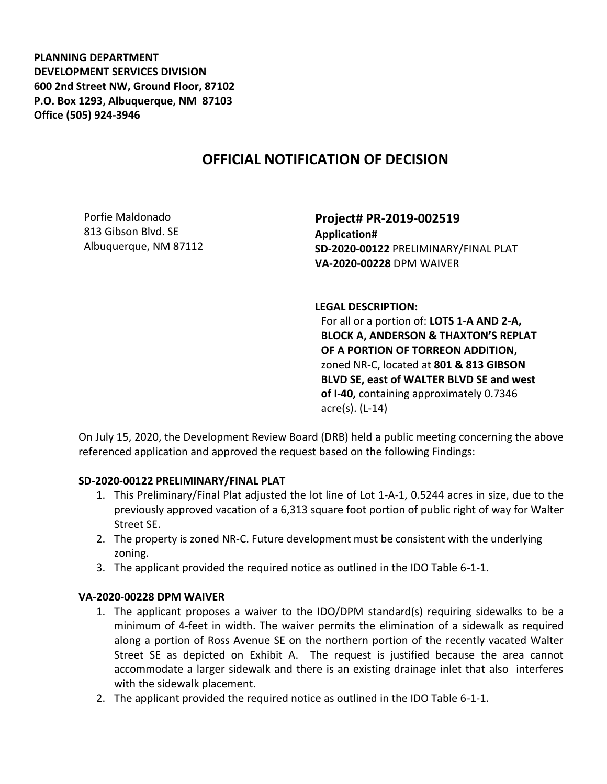**PLANNING DEPARTMENT DEVELOPMENT SERVICES DIVISION 600 2nd Street NW, Ground Floor, 87102 P.O. Box 1293, Albuquerque, NM 87103 Office (505) 924-3946** 

## **OFFICIAL NOTIFICATION OF DECISION**

Porfie Maldonado 813 Gibson Blvd. SE Albuquerque, NM 87112

**Project# PR-2019-002519 Application# SD-2020-00122** PRELIMINARY/FINAL PLAT **VA-2020-00228** DPM WAIVER

**LEGAL DESCRIPTION:**

For all or a portion of: **LOTS 1-A AND 2-A, BLOCK A, ANDERSON & THAXTON'S REPLAT OF A PORTION OF TORREON ADDITION,**  zoned NR-C, located at **801 & 813 GIBSON BLVD SE, east of WALTER BLVD SE and west of I-40,** containing approximately 0.7346 acre(s). (L-14)

On July 15, 2020, the Development Review Board (DRB) held a public meeting concerning the above referenced application and approved the request based on the following Findings:

## **SD-2020-00122 PRELIMINARY/FINAL PLAT**

- 1. This Preliminary/Final Plat adjusted the lot line of Lot 1-A-1, 0.5244 acres in size, due to the previously approved vacation of a 6,313 square foot portion of public right of way for Walter Street SE.
- 2. The property is zoned NR-C. Future development must be consistent with the underlying zoning.
- 3. The applicant provided the required notice as outlined in the IDO Table 6-1-1.

## **VA-2020-00228 DPM WAIVER**

- 1. The applicant proposes a waiver to the IDO/DPM standard(s) requiring sidewalks to be a minimum of 4-feet in width. The waiver permits the elimination of a sidewalk as required along a portion of Ross Avenue SE on the northern portion of the recently vacated Walter Street SE as depicted on Exhibit A. The request is justified because the area cannot accommodate a larger sidewalk and there is an existing drainage inlet that also interferes with the sidewalk placement.
- 2. The applicant provided the required notice as outlined in the IDO Table 6-1-1.